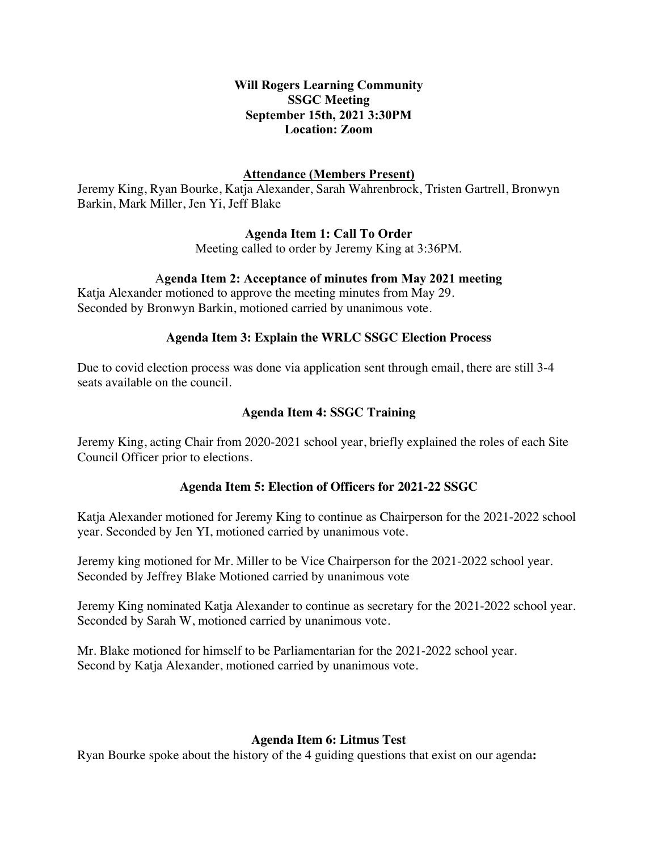### **Will Rogers Learning Community SSGC Meeting September 15th, 2021 3:30PM Location: Zoom**

## **Attendance (Members Present)**

Jeremy King, Ryan Bourke, Katja Alexander, Sarah Wahrenbrock, Tristen Gartrell, Bronwyn Barkin, Mark Miller, Jen Yi, Jeff Blake

## **Agenda Item 1: Call To Order**

Meeting called to order by Jeremy King at 3:36PM.

# A**genda Item 2: Acceptance of minutes from May 2021 meeting**

Katja Alexander motioned to approve the meeting minutes from May 29. Seconded by Bronwyn Barkin, motioned carried by unanimous vote.

#### **Agenda Item 3: Explain the WRLC SSGC Election Process**

Due to covid election process was done via application sent through email, there are still 3-4 seats available on the council.

## **Agenda Item 4: SSGC Training**

Jeremy King, acting Chair from 2020-2021 school year, briefly explained the roles of each Site Council Officer prior to elections.

#### **Agenda Item 5: Election of Officers for 2021-22 SSGC**

Katja Alexander motioned for Jeremy King to continue as Chairperson for the 2021-2022 school year. Seconded by Jen YI, motioned carried by unanimous vote.

Jeremy king motioned for Mr. Miller to be Vice Chairperson for the 2021-2022 school year. Seconded by Jeffrey Blake Motioned carried by unanimous vote

Jeremy King nominated Katja Alexander to continue as secretary for the 2021-2022 school year. Seconded by Sarah W, motioned carried by unanimous vote.

Mr. Blake motioned for himself to be Parliamentarian for the 2021-2022 school year. Second by Katja Alexander, motioned carried by unanimous vote.

#### **Agenda Item 6: Litmus Test**

Ryan Bourke spoke about the history of the 4 guiding questions that exist on our agenda**:**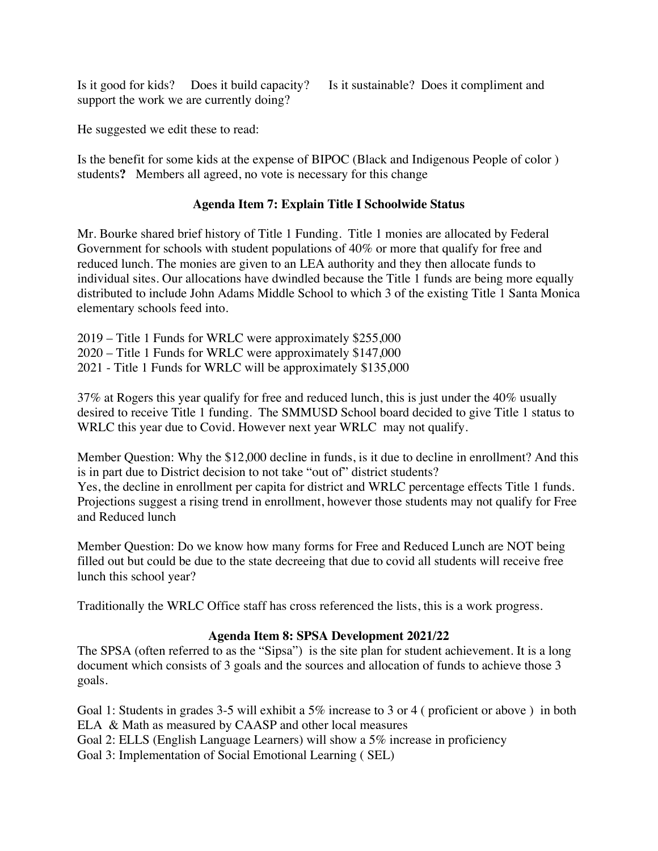Is it good for kids? Does it build capacity? Is it sustainable? Does it compliment and support the work we are currently doing?

He suggested we edit these to read:

Is the benefit for some kids at the expense of BIPOC (Black and Indigenous People of color ) students**?** Members all agreed, no vote is necessary for this change

## **Agenda Item 7: Explain Title I Schoolwide Status**

Mr. Bourke shared brief history of Title 1 Funding. Title 1 monies are allocated by Federal Government for schools with student populations of 40% or more that qualify for free and reduced lunch. The monies are given to an LEA authority and they then allocate funds to individual sites. Our allocations have dwindled because the Title 1 funds are being more equally distributed to include John Adams Middle School to which 3 of the existing Title 1 Santa Monica elementary schools feed into.

2019 – Title 1 Funds for WRLC were approximately \$255,000 2020 – Title 1 Funds for WRLC were approximately \$147,000 2021 - Title 1 Funds for WRLC will be approximately \$135,000

37% at Rogers this year qualify for free and reduced lunch, this is just under the 40% usually desired to receive Title 1 funding. The SMMUSD School board decided to give Title 1 status to WRLC this year due to Covid. However next year WRLC may not qualify.

Member Question: Why the \$12,000 decline in funds, is it due to decline in enrollment? And this is in part due to District decision to not take "out of" district students?

Yes, the decline in enrollment per capita for district and WRLC percentage effects Title 1 funds. Projections suggest a rising trend in enrollment, however those students may not qualify for Free and Reduced lunch

Member Question: Do we know how many forms for Free and Reduced Lunch are NOT being filled out but could be due to the state decreeing that due to covid all students will receive free lunch this school year?

Traditionally the WRLC Office staff has cross referenced the lists, this is a work progress.

#### **Agenda Item 8: SPSA Development 2021/22**

The SPSA (often referred to as the "Sipsa") is the site plan for student achievement. It is a long document which consists of 3 goals and the sources and allocation of funds to achieve those 3 goals.

Goal 1: Students in grades 3-5 will exhibit a 5% increase to 3 or 4 ( proficient or above ) in both ELA & Math as measured by CAASP and other local measures Goal 2: ELLS (English Language Learners) will show a 5% increase in proficiency Goal 3: Implementation of Social Emotional Learning ( SEL)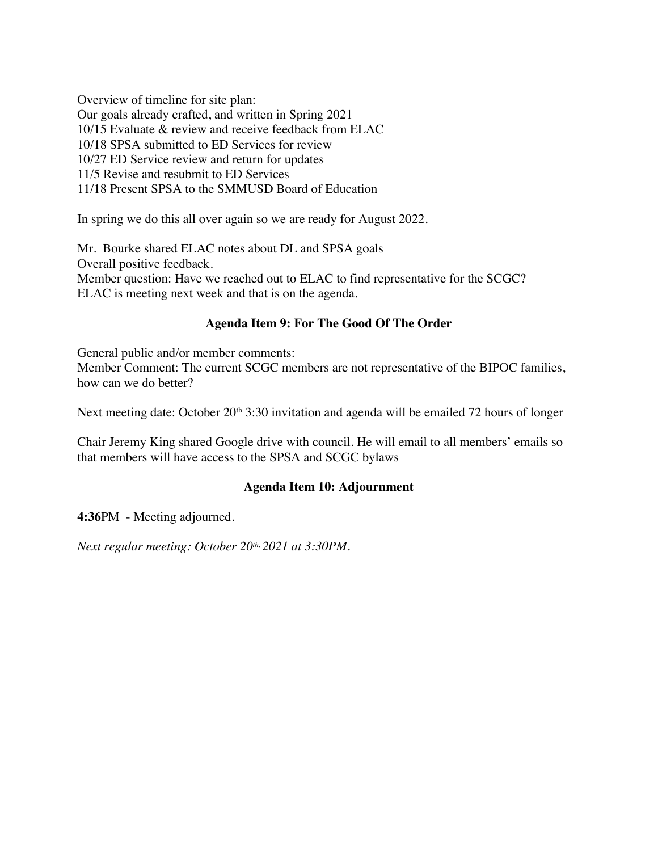Overview of timeline for site plan: Our goals already crafted, and written in Spring 2021 10/15 Evaluate & review and receive feedback from ELAC 10/18 SPSA submitted to ED Services for review 10/27 ED Service review and return for updates 11/5 Revise and resubmit to ED Services 11/18 Present SPSA to the SMMUSD Board of Education

In spring we do this all over again so we are ready for August 2022.

Mr. Bourke shared ELAC notes about DL and SPSA goals Overall positive feedback. Member question: Have we reached out to ELAC to find representative for the SCGC? ELAC is meeting next week and that is on the agenda.

# **Agenda Item 9: For The Good Of The Order**

General public and/or member comments: Member Comment: The current SCGC members are not representative of the BIPOC families, how can we do better?

Next meeting date: October 20<sup>th</sup> 3:30 invitation and agenda will be emailed 72 hours of longer

Chair Jeremy King shared Google drive with council. He will email to all members' emails so that members will have access to the SPSA and SCGC bylaws

# **Agenda Item 10: Adjournment**

**4:36**PM - Meeting adjourned.

*Next regular meeting: October 20th, 2021 at 3:30PM.*